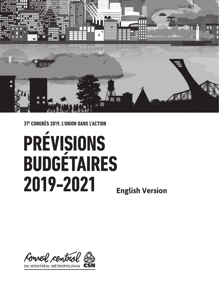

**37E CONGRÈS 2019, L'UNION DANS L'ACTION**

# **PRÉVISIONS BUDGÉTAIRES 2019-2021 English Version**

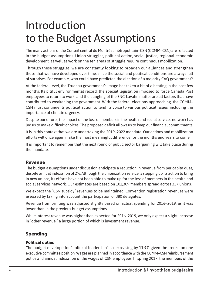# Introduction to the Budget Assumptions

The many actions of the Conseil central du Montréal métropolitain–CSN (CCMM–CSN) are reflected in the budget assumptions. Union struggles, political action, social justice, regional economic development, as well as work on the ten areas of struggle require continuous mobilization.

Through these struggles, we are constantly looking to broaden our alliances and strengthen those that we have developed over time, since the social and political conditions are always full of surprises. For example, who could have predicted the election of a majority CAQ government?

At the federal level, the Trudeau government's image has taken a bit of a beating in the past few months. Its pitiful environmental record, the special legislation imposed to force Canada Post employees to return to work, and the bungling of the SNC-Lavalin matter are all factors that have contributed to weakening the government. With the federal elections approaching, the CCMM– CSN must continue its political action to lend its voice to various political issues, including the importance of climate urgency.

Despite our efforts, the impact of the loss of members in the health and social services network has led us to make difficult choices. The proposed deficit allows us to keep our financial commitments.

It is in this context that we are undertaking the 2019–2022 mandate. Our actions and mobilization efforts will once again make the most meaningful difference for the months and years to come.

It is important to remember that the next round of public sector bargaining will take place during the mandate.

### **Revenue**

The budget assumptions under discussion anticipate a reduction in revenue from per capita dues, despite annual indexation of 2%. Although the unionization service is stepping up its action to bring in new unions, its efforts have not been able to make up for the loss of members in the health and social services network. Our estimates are based on 101,309 members spread across 357 unions.

We expect the "CSN subsidy" revenues to be maintained. Convention registration revenues were assessed by taking into account the participation of 380 delegates.

Revenue from printing was adjusted slightly based on actual spending for 2016–2019, as it was lower than in the previous budget assumptions.

While interest revenue was higher than expected for 2016–2019, we only expect a slight increase in "other revenue," a large portion of which is investment revenue.

### **Spending**

#### **Political duties**

The budget envelope for "political leadership" is decreasing by 11.9% given the freeze on one executive committee position. Wages are planned in accordance with the CCMM–CSN reimbursement policy and annual indexation of the wages of CSN employees. In spring 2017, the members of the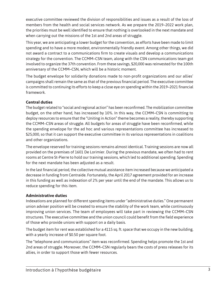executive committee reviewed the division of responsibilities and issues as a result of the loss of members from the health and social services network. As we prepare the 2019–2022 work plan, the priorities must be well identified to ensure that nothing is overlooked in the next mandate and when carrying out the missions of the 1st and 2nd areas of struggle.

This year, we are anticipating a lower budget for the convention, as efforts have been made to limit spending and to have a more modest, environmentally friendly event. Among other things, we did not award a contract to a communications firm to create visuals and develop a communications strategy for the convention. The CCMM–CSN team, along with the CSN communications team got involved to organize the 37th convention. From these savings, \$20,000 was reinvested for the 100th anniversary of the CCMM–CSN, which will be a historic moment.

The budget envelope for solidarity donations made to non-profit organizations and our allies' campaigns shall remain the same as that of the previous financial period. The executive committee is committed to continuing its efforts to keep a close eye on spending within the 2019–2021 financial framework.

#### **Central duties**

The budget related to "social and regional action" has been reconfirmed. The mobilization committee budget, on the other hand, has increased by 10%. In this way, the CCMM–CSN is committing to deploy resources to ensure that the "Uniting in Action" theme becomes a reality, thereby supporting the CCMM–CSN areas of struggle. All budgets for areas of struggle have been reconfirmed, while the spending envelope for the ad hoc and various representations committee has increased to \$25,000, so that it can support the executive committee in its various representations in coalitions and other organizations.

The envelope reserved for training sessions remains almost identical. Training sessions are now all provided on the premises of 1601 De Lorimier. During the previous mandate, we often had to rent rooms at Centre St-Pierre to hold our training sessions, which led to additional spending. Spending for the next mandate has been adjusted as a result.

In the last financial period, the collective mutual assistance item increased because we anticipated a decrease in funding from Centraide. Fortunately, the April 2017 agreement provided for an increase in this funding as well as indexation of 2% per year until the end of the mandate. This allows us to reduce spending for this item.

#### **Administrative duties**

Indexations are planned for different spending items under "administrative duties." One permanent union adviser position will be created to ensure the stability of the work team, while continuously improving union services. The team of employees will take part in reviewing the CCMM–CSN structures. The executive committee and the union council could benefit from the field experience of those who provide unions with support on a daily basis.

The budget item for rent was established for a 4115 sq. ft. space that we occupy in the new building, with a yearly increase of \$0.50 per square foot.

The "telephone and communications" item was reconfirmed. Spending helps promote the 1st and 2nd areas of struggle. Moreover, the CCMM–CSN regularly bears the costs of press releases for its allies, in order to support those with fewer resources.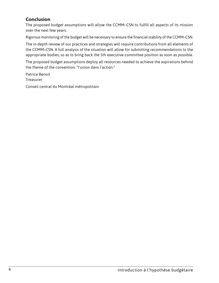## **Conclusion**

The proposed budget assumptions will allow the CCMM–CSN to fulfill all aspects of its mission over the next few years.

Rigorous monitoring of the budget will be necessary to ensure the financial stability of the CCMM–CSN.

The in-depth review of our practices and strategies will require contributions from all elements of the CCMM–CSN. A full analysis of the situation will allow for submitting recommendations to the appropriate bodies, so as to bring back the 5th executive committee position as soon as possible.

The proposed budget assumptions deploy all resources needed to achieve the aspirations behind the theme of the convention: "l'union dans l'action."

Patrice Benoit **Treasurer** 

Conseil central du Montréal métropolitain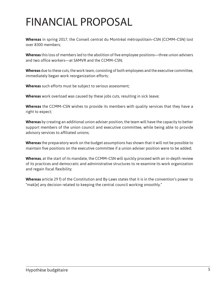# FINANCIAL PROPOSAL

**Whereas** in spring 2017, the Conseil central du Montréal métropolitain–CSN (CCMM–CSN) lost over 8300 members;

**Whereas** this loss of members led to the abolition of five employee positions—three union advisers and two office workers—at SAMVR and the CCMM–CSN;

**Whereas** due to these cuts, the work team, consisting of both employees and the executive committee, immediately began work reorganization efforts;

**Whereas** such efforts must be subject to serious assessment;

**Whereas** work overload was caused by these jobs cuts, resulting in sick leave;

**Whereas** the CCMM–CSN wishes to provide its members with quality services that they have a right to expect;

**Whereas** by creating an additional union adviser position, the team will have the capacity to better support members of the union council and executive committee, while being able to provide advisory services to affiliated unions;

**Whereas** the preparatory work on the budget assumptions has shown that it will not be possible to maintain five positions on the executive committee if a union adviser position were to be added;

**Whereas**, at the start of its mandate, the CCMM–CSN will quickly proceed with an in-depth review of its practices and democratic and administrative structures to re-examine its work organization and regain fiscal flexibility;

**Whereas** article 29 f) of the Constitution and By-Laws states that it is in the convention's power to "mak[e] any decision related to keeping the central council working smoothly."